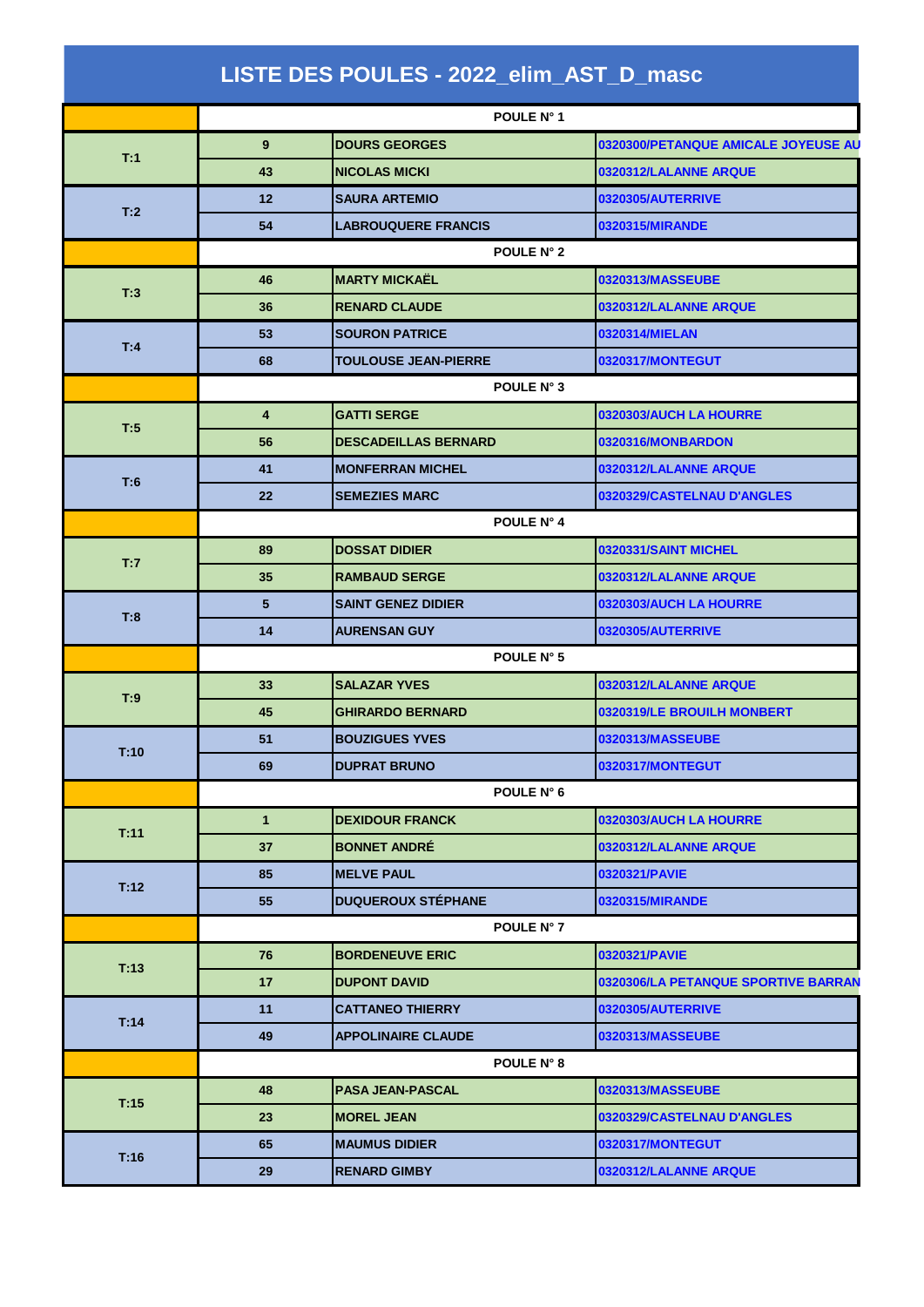|      |                         | POULE N° 1                  |                                     |
|------|-------------------------|-----------------------------|-------------------------------------|
| T:1  | 9 <sup>°</sup>          | <b>DOURS GEORGES</b>        | 0320300/PETANQUE AMICALE JOYEUSE AU |
|      | 43                      | <b>NICOLAS MICKI</b>        | 0320312/LALANNE ARQUE               |
| T:2  | 12 <sub>2</sub>         | <b>SAURA ARTEMIO</b>        | 0320305/AUTERRIVE                   |
|      | 54                      | <b>LABROUQUERE FRANCIS</b>  | 0320315/MIRANDE                     |
|      |                         | POULE N° 2                  |                                     |
| T:3  | 46                      | <b>MARTY MICKAËL</b>        | 0320313/MASSEUBE                    |
|      | 36                      | <b>RENARD CLAUDE</b>        | 0320312/LALANNE ARQUE               |
|      | 53                      | <b>SOURON PATRICE</b>       | 0320314/MIELAN                      |
| T:4  | 68                      | <b>TOULOUSE JEAN-PIERRE</b> | 0320317/MONTEGUT                    |
|      |                         | POULE N° 3                  |                                     |
|      | $\overline{\mathbf{4}}$ | <b>GATTI SERGE</b>          | 0320303/AUCH LA HOURRE              |
| T:5  | 56                      | <b>DESCADEILLAS BERNARD</b> | 0320316/MONBARDON                   |
| T:6  | 41                      | <b>MONFERRAN MICHEL</b>     | 0320312/LALANNE ARQUE               |
|      | $22 \overline{ }$       | <b>SEMEZIES MARC</b>        | 0320329/CASTELNAU D'ANGLES          |
|      |                         | POULE N° 4                  |                                     |
|      | 89                      | <b>DOSSAT DIDIER</b>        | 0320331/SAINT MICHEL                |
| T:7  | 35                      | <b>RAMBAUD SERGE</b>        | 0320312/LALANNE ARQUE               |
|      | 5                       | <b>SAINT GENEZ DIDIER</b>   | 0320303/AUCH LA HOURRE              |
| T:8  | 14                      | <b>AURENSAN GUY</b>         | 0320305/AUTERRIVE                   |
|      |                         | POULE N° 5                  |                                     |
|      | 33                      | <b>SALAZAR YVES</b>         | 0320312/LALANNE ARQUE               |
| T:9  | 45                      | <b>GHIRARDO BERNARD</b>     | 0320319/LE BROUILH MONBERT          |
|      | 51                      | <b>BOUZIGUES YVES</b>       | 0320313/MASSEUBE                    |
| T:10 | 69                      | <b>DUPRAT BRUNO</b>         | 0320317/MONTEGUT                    |
|      |                         | POULE N° 6                  |                                     |
|      | $\mathbf{1}$            | <b>DEXIDOUR FRANCK</b>      | 0320303/AUCH LA HOURRE              |
| T:11 | 37                      | <b>BONNET ANDRE</b>         | 0320312/LALANNE ARQUE               |
|      | 85                      | <b>MELVE PAUL</b>           | 0320321/PAVIE                       |
| T:12 | 55                      | <b>DUQUEROUX STÉPHANE</b>   | 0320315/MIRANDE                     |
|      |                         | POULE N° 7                  |                                     |
|      | 76                      | <b>BORDENEUVE ERIC</b>      | 0320321/PAVIE                       |
| T:13 | 17                      | <b>DUPONT DAVID</b>         | 0320306/LA PETANQUE SPORTIVE BARRAN |
|      | 11                      | <b>CATTANEO THIERRY</b>     | 0320305/AUTERRIVE                   |
| T:14 | 49                      | <b>APPOLINAIRE CLAUDE</b>   | 0320313/MASSEUBE                    |
|      |                         | <b>POULE N° 8</b>           |                                     |
| T:15 | 48                      | <b>PASA JEAN-PASCAL</b>     | 0320313/MASSEUBE                    |
|      | 23                      | <b>MOREL JEAN</b>           | 0320329/CASTELNAU D'ANGLES          |
| T:16 | 65                      | <b>MAUMUS DIDIER</b>        | 0320317/MONTEGUT                    |
|      |                         |                             |                                     |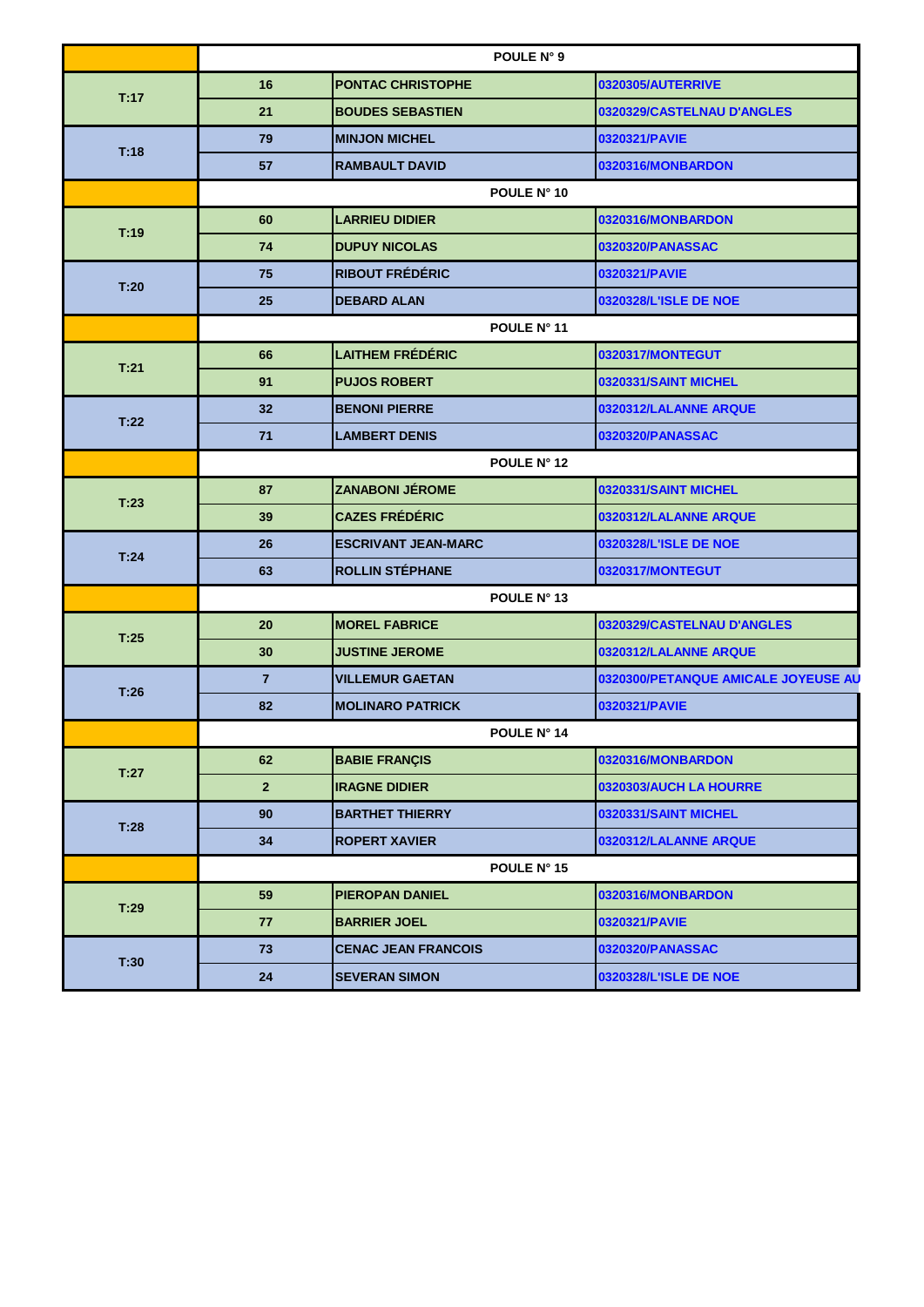|      | POULE N° 9     |                            |                                     |
|------|----------------|----------------------------|-------------------------------------|
|      | 16             | <b>PONTAC CHRISTOPHE</b>   | 0320305/AUTERRIVE                   |
| T:17 | 21             | <b>BOUDES SEBASTIEN</b>    | 0320329/CASTELNAU D'ANGLES          |
| T:18 | 79             | <b>MINJON MICHEL</b>       | 0320321/PAVIE                       |
|      | 57             | <b>RAMBAULT DAVID</b>      | 0320316/MONBARDON                   |
|      |                | POULE N° 10                |                                     |
| T:19 | 60             | <b>LARRIEU DIDIER</b>      | 0320316/MONBARDON                   |
|      | 74             | <b>DUPUY NICOLAS</b>       | 0320320/PANASSAC                    |
| T:20 | 75             | <b>RIBOUT FRÉDÉRIC</b>     | 0320321/PAVIE                       |
|      | 25             | <b>DEBARD ALAN</b>         | 0320328/L'ISLE DE NOE               |
|      |                | POULE N° 11                |                                     |
| T:21 | 66             | <b>LAITHEM FRÉDÉRIC</b>    | 0320317/MONTEGUT                    |
|      | 91             | <b>PUJOS ROBERT</b>        | 0320331/SAINT MICHEL                |
| T:22 | 32             | <b>BENONI PIERRE</b>       | 0320312/LALANNE ARQUE               |
|      | 71             | <b>LAMBERT DENIS</b>       | 0320320/PANASSAC                    |
|      |                | POULE N° 12                |                                     |
| T:23 | 87             | <b>ZANABONI JEROME</b>     | 0320331/SAINT MICHEL                |
|      | 39             | <b>CAZES FRÉDÉRIC</b>      | 0320312/LALANNE ARQUE               |
| T:24 | 26             | <b>ESCRIVANT JEAN-MARC</b> | 0320328/L'ISLE DE NOE               |
|      | 63             | <b>ROLLIN STÉPHANE</b>     | 0320317/MONTEGUT                    |
|      |                | POULE N° 13                |                                     |
| T:25 | 20             | <b>MOREL FABRICE</b>       | 0320329/CASTELNAU D'ANGLES          |
|      | 30             | <b>JUSTINE JEROME</b>      | 0320312/LALANNE ARQUE               |
| T:26 | $\overline{7}$ | <b>VILLEMUR GAETAN</b>     | 0320300/PETANQUE AMICALE JOYEUSE AU |
|      | 82             | <b>MOLINARO PATRICK</b>    | 0320321/PAVIE                       |
|      |                | <b>POULE N° 14</b>         |                                     |
| T:27 | 62             | <b>BABIE FRANÇIS</b>       | 0320316/MONBARDON                   |
|      | $\overline{2}$ | <b>IRAGNE DIDIER</b>       | 0320303/AUCH LA HOURRE              |
| T:28 | 90             | <b>BARTHET THIERRY</b>     | 0320331/SAINT MICHEL                |
|      | 34             | <b>ROPERT XAVIER</b>       | 0320312/LALANNE ARQUE               |
|      | POULE N° 15    |                            |                                     |
| T:29 | 59             | <b>PIEROPAN DANIEL</b>     | 0320316/MONBARDON                   |
|      | 77             | <b>BARRIER JOEL</b>        | 0320321/PAVIE                       |
| T:30 | 73             | <b>CENAC JEAN FRANCOIS</b> | 0320320/PANASSAC                    |
|      | 24             | <b>SEVERAN SIMON</b>       | 0320328/L'ISLE DE NOE               |